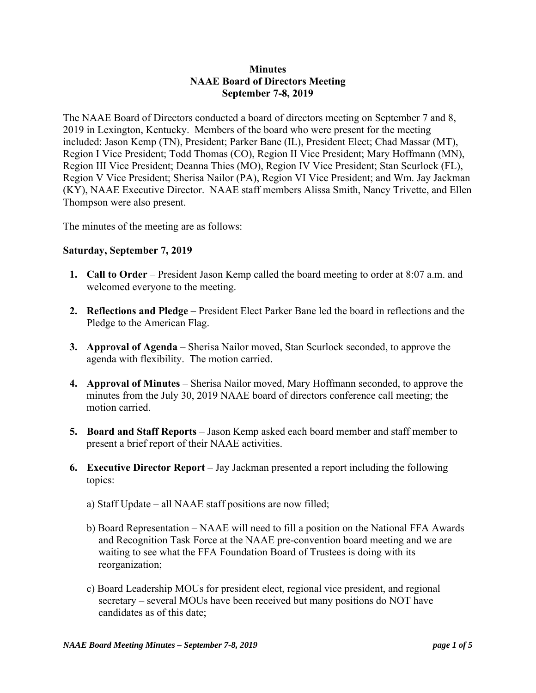## **Minutes NAAE Board of Directors Meeting September 7-8, 2019**

The NAAE Board of Directors conducted a board of directors meeting on September 7 and 8, 2019 in Lexington, Kentucky. Members of the board who were present for the meeting included: Jason Kemp (TN), President; Parker Bane (IL), President Elect; Chad Massar (MT), Region I Vice President; Todd Thomas (CO), Region II Vice President; Mary Hoffmann (MN), Region III Vice President; Deanna Thies (MO), Region IV Vice President; Stan Scurlock (FL), Region V Vice President; Sherisa Nailor (PA), Region VI Vice President; and Wm. Jay Jackman (KY), NAAE Executive Director. NAAE staff members Alissa Smith, Nancy Trivette, and Ellen Thompson were also present.

The minutes of the meeting are as follows:

## **Saturday, September 7, 2019**

- **1. Call to Order** President Jason Kemp called the board meeting to order at 8:07 a.m. and welcomed everyone to the meeting.
- **2. Reflections and Pledge** President Elect Parker Bane led the board in reflections and the Pledge to the American Flag.
- **3. Approval of Agenda** Sherisa Nailor moved, Stan Scurlock seconded, to approve the agenda with flexibility. The motion carried.
- **4. Approval of Minutes**  Sherisa Nailor moved, Mary Hoffmann seconded, to approve the minutes from the July 30, 2019 NAAE board of directors conference call meeting; the motion carried.
- **5. Board and Staff Reports**  Jason Kemp asked each board member and staff member to present a brief report of their NAAE activities.
- **6. Executive Director Report** Jay Jackman presented a report including the following topics:
	- a) Staff Update all NAAE staff positions are now filled;
	- b) Board Representation NAAE will need to fill a position on the National FFA Awards and Recognition Task Force at the NAAE pre-convention board meeting and we are waiting to see what the FFA Foundation Board of Trustees is doing with its reorganization;
	- c) Board Leadership MOUs for president elect, regional vice president, and regional secretary – several MOUs have been received but many positions do NOT have candidates as of this date;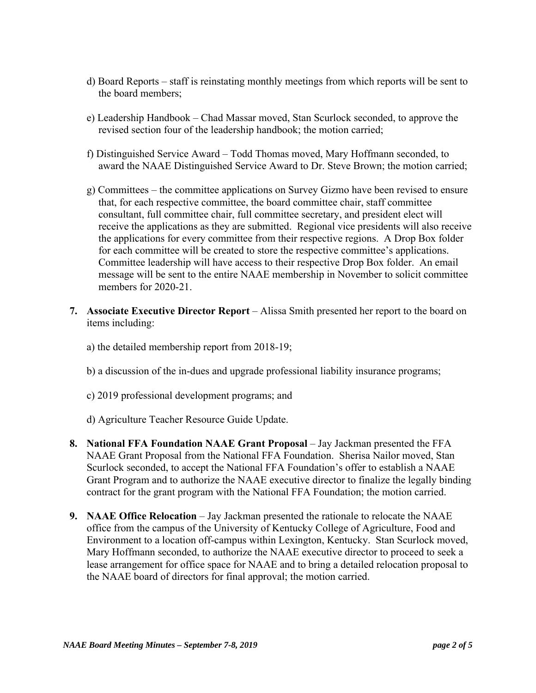- d) Board Reports staff is reinstating monthly meetings from which reports will be sent to the board members;
- e) Leadership Handbook Chad Massar moved, Stan Scurlock seconded, to approve the revised section four of the leadership handbook; the motion carried;
- f) Distinguished Service Award Todd Thomas moved, Mary Hoffmann seconded, to award the NAAE Distinguished Service Award to Dr. Steve Brown; the motion carried;
- g) Committees the committee applications on Survey Gizmo have been revised to ensure that, for each respective committee, the board committee chair, staff committee consultant, full committee chair, full committee secretary, and president elect will receive the applications as they are submitted. Regional vice presidents will also receive the applications for every committee from their respective regions. A Drop Box folder for each committee will be created to store the respective committee's applications. Committee leadership will have access to their respective Drop Box folder. An email message will be sent to the entire NAAE membership in November to solicit committee members for 2020-21.
- **7. Associate Executive Director Report** Alissa Smith presented her report to the board on items including:
	- a) the detailed membership report from 2018-19;
	- b) a discussion of the in-dues and upgrade professional liability insurance programs;
	- c) 2019 professional development programs; and
	- d) Agriculture Teacher Resource Guide Update.
- **8. National FFA Foundation NAAE Grant Proposal** Jay Jackman presented the FFA NAAE Grant Proposal from the National FFA Foundation. Sherisa Nailor moved, Stan Scurlock seconded, to accept the National FFA Foundation's offer to establish a NAAE Grant Program and to authorize the NAAE executive director to finalize the legally binding contract for the grant program with the National FFA Foundation; the motion carried.
- **9. NAAE Office Relocation** Jay Jackman presented the rationale to relocate the NAAE office from the campus of the University of Kentucky College of Agriculture, Food and Environment to a location off-campus within Lexington, Kentucky. Stan Scurlock moved, Mary Hoffmann seconded, to authorize the NAAE executive director to proceed to seek a lease arrangement for office space for NAAE and to bring a detailed relocation proposal to the NAAE board of directors for final approval; the motion carried.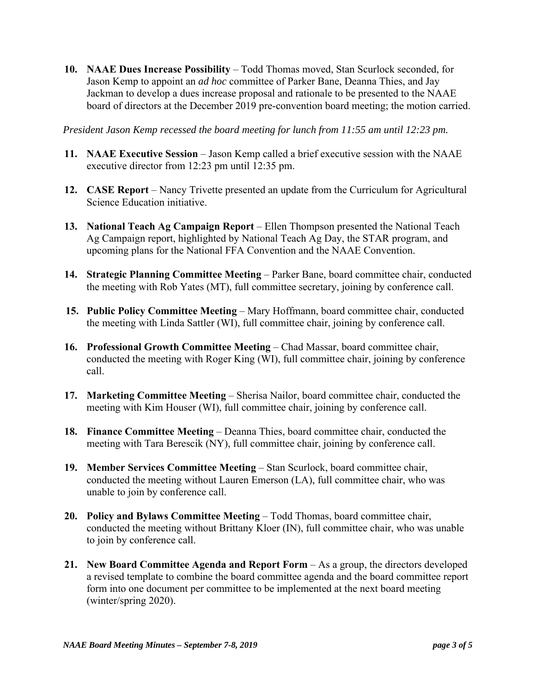**10. NAAE Dues Increase Possibility** – Todd Thomas moved, Stan Scurlock seconded, for Jason Kemp to appoint an *ad hoc* committee of Parker Bane, Deanna Thies, and Jay Jackman to develop a dues increase proposal and rationale to be presented to the NAAE board of directors at the December 2019 pre-convention board meeting; the motion carried.

*President Jason Kemp recessed the board meeting for lunch from 11:55 am until 12:23 pm.* 

- **11. NAAE Executive Session** Jason Kemp called a brief executive session with the NAAE executive director from 12:23 pm until 12:35 pm.
- **12. CASE Report** Nancy Trivette presented an update from the Curriculum for Agricultural Science Education initiative.
- **13. National Teach Ag Campaign Report** Ellen Thompson presented the National Teach Ag Campaign report, highlighted by National Teach Ag Day, the STAR program, and upcoming plans for the National FFA Convention and the NAAE Convention.
- **14. Strategic Planning Committee Meeting** Parker Bane, board committee chair, conducted the meeting with Rob Yates (MT), full committee secretary, joining by conference call.
- **15. Public Policy Committee Meeting** Mary Hoffmann, board committee chair, conducted the meeting with Linda Sattler (WI), full committee chair, joining by conference call.
- **16. Professional Growth Committee Meeting** Chad Massar, board committee chair, conducted the meeting with Roger King (WI), full committee chair, joining by conference call.
- **17. Marketing Committee Meeting** Sherisa Nailor, board committee chair, conducted the meeting with Kim Houser (WI), full committee chair, joining by conference call.
- **18. Finance Committee Meeting** Deanna Thies, board committee chair, conducted the meeting with Tara Berescik (NY), full committee chair, joining by conference call.
- **19. Member Services Committee Meeting** Stan Scurlock, board committee chair, conducted the meeting without Lauren Emerson (LA), full committee chair, who was unable to join by conference call.
- **20. Policy and Bylaws Committee Meeting** Todd Thomas, board committee chair, conducted the meeting without Brittany Kloer (IN), full committee chair, who was unable to join by conference call.
- **21. New Board Committee Agenda and Report Form** As a group, the directors developed a revised template to combine the board committee agenda and the board committee report form into one document per committee to be implemented at the next board meeting (winter/spring 2020).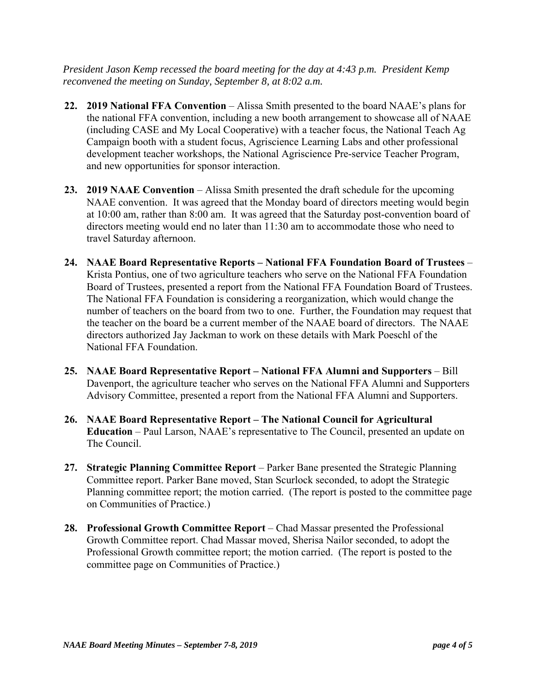*President Jason Kemp recessed the board meeting for the day at 4:43 p.m. President Kemp reconvened the meeting on Sunday, September 8, at 8:02 a.m.* 

- **22. 2019 National FFA Convention**  Alissa Smith presented to the board NAAE's plans for the national FFA convention, including a new booth arrangement to showcase all of NAAE (including CASE and My Local Cooperative) with a teacher focus, the National Teach Ag Campaign booth with a student focus, Agriscience Learning Labs and other professional development teacher workshops, the National Agriscience Pre-service Teacher Program, and new opportunities for sponsor interaction.
- **23. 2019 NAAE Convention**  Alissa Smith presented the draft schedule for the upcoming NAAE convention. It was agreed that the Monday board of directors meeting would begin at 10:00 am, rather than 8:00 am. It was agreed that the Saturday post-convention board of directors meeting would end no later than 11:30 am to accommodate those who need to travel Saturday afternoon.
- **24. NAAE Board Representative Reports National FFA Foundation Board of Trustees**  Krista Pontius, one of two agriculture teachers who serve on the National FFA Foundation Board of Trustees, presented a report from the National FFA Foundation Board of Trustees. The National FFA Foundation is considering a reorganization, which would change the number of teachers on the board from two to one. Further, the Foundation may request that the teacher on the board be a current member of the NAAE board of directors. The NAAE directors authorized Jay Jackman to work on these details with Mark Poeschl of the National FFA Foundation.
- **25. NAAE Board Representative Report National FFA Alumni and Supporters**  Bill Davenport, the agriculture teacher who serves on the National FFA Alumni and Supporters Advisory Committee, presented a report from the National FFA Alumni and Supporters.
- **26. NAAE Board Representative Report The National Council for Agricultural Education** – Paul Larson, NAAE's representative to The Council, presented an update on The Council.
- 27. Strategic Planning Committee Report Parker Bane presented the Strategic Planning Committee report. Parker Bane moved, Stan Scurlock seconded, to adopt the Strategic Planning committee report; the motion carried. (The report is posted to the committee page on Communities of Practice.)
- **28. Professional Growth Committee Report**  Chad Massar presented the Professional Growth Committee report. Chad Massar moved, Sherisa Nailor seconded, to adopt the Professional Growth committee report; the motion carried. (The report is posted to the committee page on Communities of Practice.)